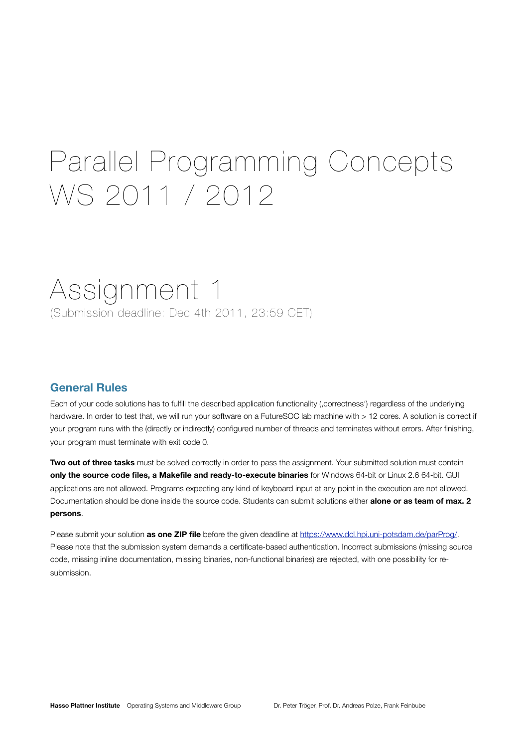# Parallel Programming Concepts WS 2011 / 2012

# Assignment 1 (Submission deadline: Dec 4th 2011, 23:59 CET)

# **General Rules**

Each of your code solutions has to fulfill the described application functionality (,correctness') regardless of the underlying hardware. In order to test that, we will run your software on a FutureSOC lab machine with > 12 cores. A solution is correct if your program runs with the (directly or indirectly) configured number of threads and terminates without errors. After finishing, your program must terminate with exit code 0.

**Two out of three tasks** must be solved correctly in order to pass the assignment. Your submitted solution must contain **only the source code files, a Makefile and ready-to-execute binaries** for Windows 64-bit or Linux 2.6 64-bit. GUI applications are not allowed. Programs expecting any kind of keyboard input at any point in the execution are not allowed. Documentation should be done inside the source code. Students can submit solutions either **alone or as team of max. 2 persons**.

Please submit your solution **as one ZIP file** before the given deadline at<https://www.dcl.hpi.uni-potsdam.de/parProg/>. Please note that the submission system demands a certificate-based authentication. Incorrect submissions (missing source code, missing inline documentation, missing binaries, non-functional binaries) are rejected, with one possibility for resubmission.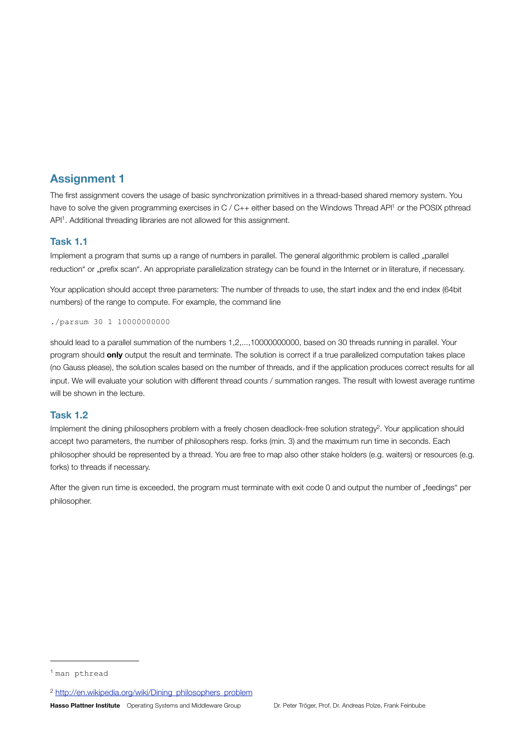# **Assignment 1**

The first assignment covers the usage of basic synchronization primitives in a thread-based shared memory system. You have to solve the given programming exercises in C / C++ either based on the Windows Thread API<sup>1</sup> or the POSIX pthread API<sup>1</sup>. Additional threading libraries are not allowed for this assignment.

### **Task 1.1**

Implement a program that sums up a range of numbers in parallel. The general algorithmic problem is called "parallel reduction" or "prefix scan". An appropriate parallelization strategy can be found in the Internet or in literature, if necessary.

Your application should accept three parameters: The number of threads to use, the start index and the end index (64bit numbers) of the range to compute. For example, the command line

./parsum 30 1 10000000000

should lead to a parallel summation of the numbers 1,2,...,10000000000, based on 30 threads running in parallel. Your program should **only** output the result and terminate. The solution is correct if a true parallelized computation takes place (no Gauss please), the solution scales based on the number of threads, and if the application produces correct results for all input. We will evaluate your solution with different thread counts / summation ranges. The result with lowest average runtime will be shown in the lecture.

#### **Task 1.2**

Implement the dining philosophers problem with a freely chosen deadlock-free solution strategy<sup>[2](#page-1-1)</sup>. Your application should accept two parameters, the number of philosophers resp. forks (min. 3) and the maximum run time in seconds. Each philosopher should be represented by a thread. You are free to map also other stake holders (e.g. waiters) or resources (e.g. forks) to threads if necessary.

After the given run time is exceeded, the program must terminate with exit code 0 and output the number of "feedings" per philosopher.

<span id="page-1-0"></span><sup>1</sup> man pthread

<span id="page-1-1"></span><sup>2</sup> [http://en.wikipedia.org/wiki/Dining\\_philosophers\\_problem](http://en.wikipedia.org/wiki/Dining_philosophers_problem)